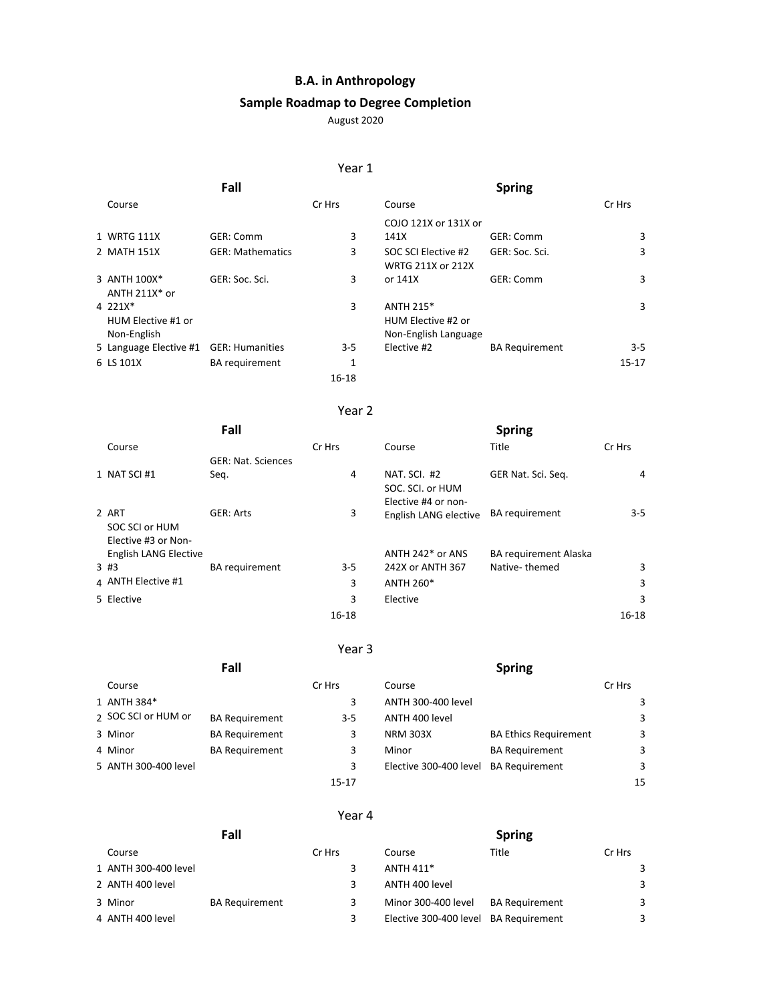## **B.A. in Anthropology**

# **Sample Roadmap to Degree Completion**

August 2020

### Year 1

|                                              | Fall                    |        |                                                                | <b>Spring</b>         |           |
|----------------------------------------------|-------------------------|--------|----------------------------------------------------------------|-----------------------|-----------|
| Course                                       |                         | Cr Hrs | Course                                                         |                       | Cr Hrs    |
|                                              |                         |        | COJO 121X or 131X or                                           |                       |           |
| 1 WRTG 111X                                  | GER: Comm               | 3      | 141X                                                           | GER: Comm             | 3         |
| 2 MATH 151X                                  | <b>GER: Mathematics</b> | 3      | SOC SCI Elective #2<br>WRTG 211X or 212X                       | GER: Soc. Sci.        | 3         |
| 3 ANTH 100X*<br>ANTH $211X^*$ or             | GER: Soc. Sci.          | 3      | or 141X                                                        | GER: Comm             | 3         |
| 4 221X*<br>HUM Elective #1 or<br>Non-English |                         | 3      | <b>ANTH 215*</b><br>HUM Elective #2 or<br>Non-English Language |                       | 3         |
| 5 Language Elective #1                       | <b>GER: Humanities</b>  | $3-5$  | Elective #2                                                    | <b>BA Requirement</b> | $3 - 5$   |
| 6 LS 101X                                    | <b>BA</b> requirement   | 1      |                                                                |                       | $15 - 17$ |
|                                              |                         | 16-18  |                                                                |                       |           |

### Year 2

|                       | Fall                      |           |                       | <b>Spring</b>                |           |
|-----------------------|---------------------------|-----------|-----------------------|------------------------------|-----------|
| Course                |                           | Cr Hrs    | Course                | Title                        | Cr Hrs    |
|                       | <b>GER: Nat. Sciences</b> |           |                       |                              |           |
| 1 NAT SCI#1           | Seq.                      | 4         | NAT. SCI. #2          | GER Nat. Sci. Seg.           | 4         |
|                       |                           |           | SOC. SCI. or HUM      |                              |           |
|                       |                           |           | Elective #4 or non-   |                              |           |
| 2 ART                 | <b>GER: Arts</b>          | 3         | English LANG elective | <b>BA</b> requirement        | $3 - 5$   |
| SOC SCI or HUM        |                           |           |                       |                              |           |
| Elective #3 or Non-   |                           |           |                       |                              |           |
| English LANG Elective |                           |           | ANTH 242* or ANS      | <b>BA requirement Alaska</b> |           |
| 3#3                   | <b>BA</b> requirement     | $3-5$     | 242X or ANTH 367      | Native-themed                | 3         |
| 4 ANTH Elective #1    |                           | 3         | <b>ANTH 260*</b>      |                              | 3         |
| 5 Elective            |                           | 3         | Elective              |                              | 3         |
|                       |                           | $16 - 18$ |                       |                              | $16 - 18$ |

### Year 3

| Fall                 |                       |           | <b>Spring</b>                         |                              |        |    |
|----------------------|-----------------------|-----------|---------------------------------------|------------------------------|--------|----|
| Course               |                       | Cr Hrs    | Course                                |                              | Cr Hrs |    |
| 1 ANTH 384*          |                       | 3         | ANTH 300-400 level                    |                              |        | 3  |
| 2 SOC SCI or HUM or  | <b>BA Requirement</b> | $3 - 5$   | ANTH 400 level                        |                              |        | 3  |
| 3 Minor              | <b>BA Requirement</b> | 3         | <b>NRM 303X</b>                       | <b>BA Ethics Requirement</b> |        | 3  |
| 4 Minor              | <b>BA Requirement</b> | 3         | Minor                                 | <b>BA Requirement</b>        |        | 3  |
| 5 ANTH 300-400 level |                       | 3         | Elective 300-400 level BA Requirement |                              |        | 3  |
|                      |                       | $15 - 17$ |                                       |                              |        | 15 |

#### Year 4

| Fall |                      |                       | <b>Spring</b> |                                       |                       |        |
|------|----------------------|-----------------------|---------------|---------------------------------------|-----------------------|--------|
|      | Course               |                       | Cr Hrs        | Course                                | Title                 | Cr Hrs |
|      | 1 ANTH 300-400 level |                       |               | ANTH 411*                             |                       | 3      |
|      | 2 ANTH 400 level     |                       |               | ANTH 400 level                        |                       | 3      |
|      | 3 Minor              | <b>BA Requirement</b> |               | Minor 300-400 level                   | <b>BA Requirement</b> | 3      |
|      | 4 ANTH 400 level     |                       |               | Elective 300-400 level BA Requirement |                       | 3      |